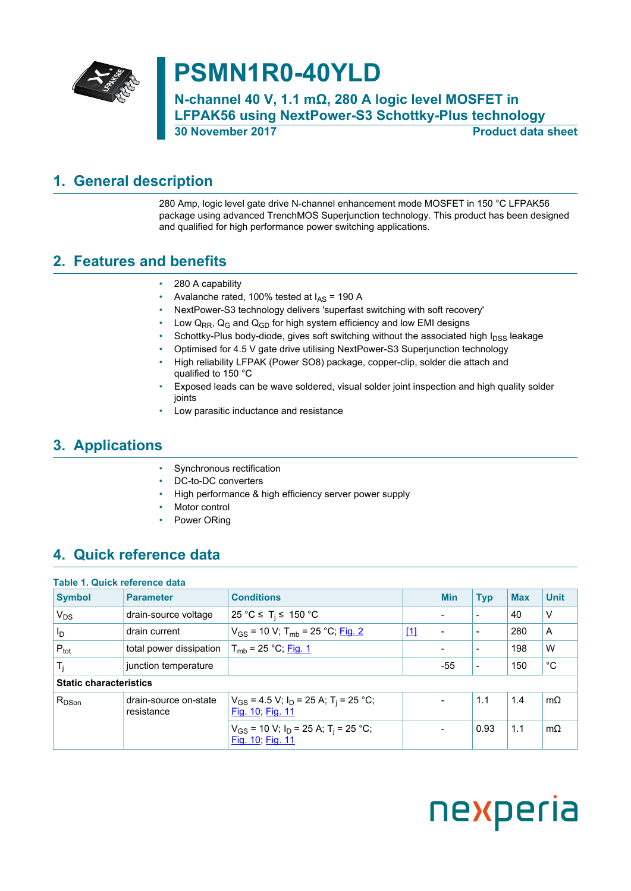

## **PSMN1R0-40YLD**

**N-channel 40 V, 1.1 mΩ, 280 A logic level MOSFET in LFPAK56 using NextPower-S3 Schottky-Plus technology 30 November 2017 Product data sheet**

### <span id="page-0-0"></span>**1. General description**

280 Amp, logic level gate drive N-channel enhancement mode MOSFET in 150 °C LFPAK56 package using advanced TrenchMOS Superjunction technology. This product has been designed and qualified for high performance power switching applications.

### <span id="page-0-1"></span>**2. Features and benefits**

- 280 A capability
- Avalanche rated, 100% tested at  $I_{AS}$  = 190 A
- NextPower-S3 technology delivers 'superfast switching with soft recovery'
- Low  $Q_{RR}$ ,  $Q_G$  and  $Q_{GD}$  for high system efficiency and low EMI designs
- Schottky-Plus body-diode, gives soft switching without the associated high  $I_{\text{DSS}}$  leakage
- Optimised for 4.5 V gate drive utilising NextPower-S3 Superjunction technology
- High reliability LFPAK (Power SO8) package, copper-clip, solder die attach and qualified to 150 °C
- Exposed leads can be wave soldered, visual solder joint inspection and high quality solder joints
- Low parasitic inductance and resistance

### <span id="page-0-2"></span>**3. Applications**

- Synchronous rectification
- DC-to-DC converters
- High performance & high efficiency server power supply
- Motor control
- Power ORing

### <span id="page-0-3"></span>**4. Quick reference data**

| <b>Symbol</b>                 | <b>Parameter</b>                    | <b>Conditions</b>                                                                    |             | <b>Min</b>               | <b>Typ</b>               | <b>Max</b> | <b>Unit</b> |  |
|-------------------------------|-------------------------------------|--------------------------------------------------------------------------------------|-------------|--------------------------|--------------------------|------------|-------------|--|
| $V_{DS}$                      | drain-source voltage                | 25 °C ≤ T <sub>i</sub> ≤ 150 °C                                                      |             | $\overline{\phantom{0}}$ | $\overline{\phantom{a}}$ | 40         | $\vee$      |  |
| I <sub>D</sub>                | drain current                       | $V_{GS}$ = 10 V; T <sub>mb</sub> = 25 °C; <u>Fig. 2</u>                              | $\boxed{1}$ | $\overline{\phantom{a}}$ | $\overline{\phantom{a}}$ | 280        | A           |  |
| $P_{\text{tot}}$              | total power dissipation             | $T_{mb}$ = 25 °C; Fig. 1                                                             |             | $\overline{\phantom{0}}$ | -                        | 198        | W           |  |
| $T_i$                         | junction temperature                |                                                                                      |             | $-55$                    | $\overline{\phantom{a}}$ | 150        | $^{\circ}C$ |  |
| <b>Static characteristics</b> |                                     |                                                                                      |             |                          |                          |            |             |  |
| $R_{DSon}$                    | drain-source on-state<br>resistance | $V_{GS}$ = 4.5 V; I <sub>D</sub> = 25 A; T <sub>i</sub> = 25 °C;<br>Fig. 10; Fig. 11 |             |                          | 1.1                      | 1.4        | $m\Omega$   |  |
|                               |                                     | $V_{GS}$ = 10 V; $I_D$ = 25 A; T <sub>i</sub> = 25 °C;<br>Fig. 10; Fig. 11           |             | $\overline{\phantom{a}}$ | 0.93                     | 1.1        | $m\Omega$   |  |

# nexperia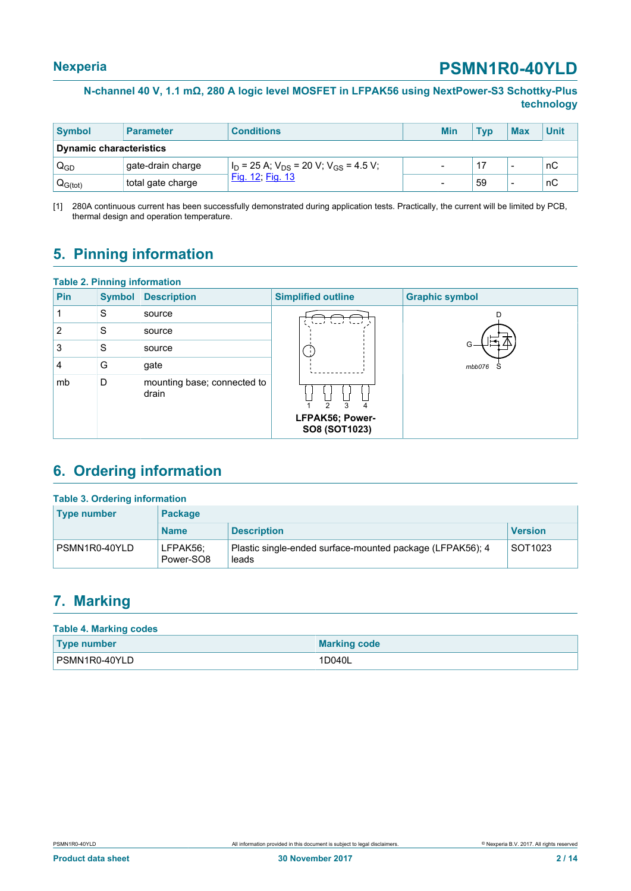<span id="page-1-0"></span>**N-channel 40 V, 1.1 mΩ, 280 A logic level MOSFET in LFPAK56 using NextPower-S3 Schottky-Plus technology**

| <b>Symbol</b>                           | <b>Parameter</b>  | <b>Conditions</b>                                |  | <b>Min</b>               | <b>Typ</b> | <b>Max</b>               | <b>Unit</b> |
|-----------------------------------------|-------------------|--------------------------------------------------|--|--------------------------|------------|--------------------------|-------------|
| <b>Dynamic characteristics</b>          |                   |                                                  |  |                          |            |                          |             |
| Q <sub>GD</sub>                         | gate-drain charge | $I_D$ = 25 A; $V_{DS}$ = 20 V; $V_{GS}$ = 4.5 V; |  | $\overline{\phantom{0}}$ |            | $\sim$                   | nС          |
| ${\mathsf Q}_{\mathsf G(\mathsf{tot})}$ | total gate charge | Fig. 12; Fig. 13                                 |  | $\overline{\phantom{0}}$ | 59         | $\overline{\phantom{0}}$ | пC          |

[1] 280A continuous current has been successfully demonstrated during application tests. Practically, the current will be limited by PCB, thermal design and operation temperature.

### <span id="page-1-1"></span>**5. Pinning information**

| <b>Table 2. Pinning information</b> |               |                                      |                                                                        |                        |  |  |  |  |
|-------------------------------------|---------------|--------------------------------------|------------------------------------------------------------------------|------------------------|--|--|--|--|
| Pin                                 | <b>Symbol</b> | <b>Description</b>                   | <b>Simplified outline</b>                                              | <b>Graphic symbol</b>  |  |  |  |  |
|                                     | S             | source                               | $N = 1, N = 2$                                                         |                        |  |  |  |  |
| 2                                   | S             | source                               |                                                                        |                        |  |  |  |  |
| 3                                   | S             | source                               |                                                                        |                        |  |  |  |  |
| 4                                   | G             | gate                                 |                                                                        | mbb076<br><sub>S</sub> |  |  |  |  |
| mb                                  | D             | mounting base; connected to<br>drain | $\mathcal{P}$<br>$\mathbf{R}$<br>4<br>LFPAK56; Power-<br>SO8 (SOT1023) |                        |  |  |  |  |

### <span id="page-1-2"></span>**6. Ordering information**

| <b>Type number</b> | <b>Package</b>        |                                                                    |                     |
|--------------------|-----------------------|--------------------------------------------------------------------|---------------------|
|                    | <b>Name</b>           | <b>Description</b>                                                 | <b>Version</b>      |
| PSMN1R0-40YLD      | LFPAK56:<br>Power-SO8 | Plastic single-ended surface-mounted package (LFPAK56); 4<br>leads | SOT <sub>1023</sub> |

### <span id="page-1-3"></span>**7. Marking**

| <b>Table 4. Marking codes</b> |                     |  |  |  |  |
|-------------------------------|---------------------|--|--|--|--|
| <b>Type number</b>            | <b>Marking code</b> |  |  |  |  |
| PSMN1R0-40YLD                 | 1D040L              |  |  |  |  |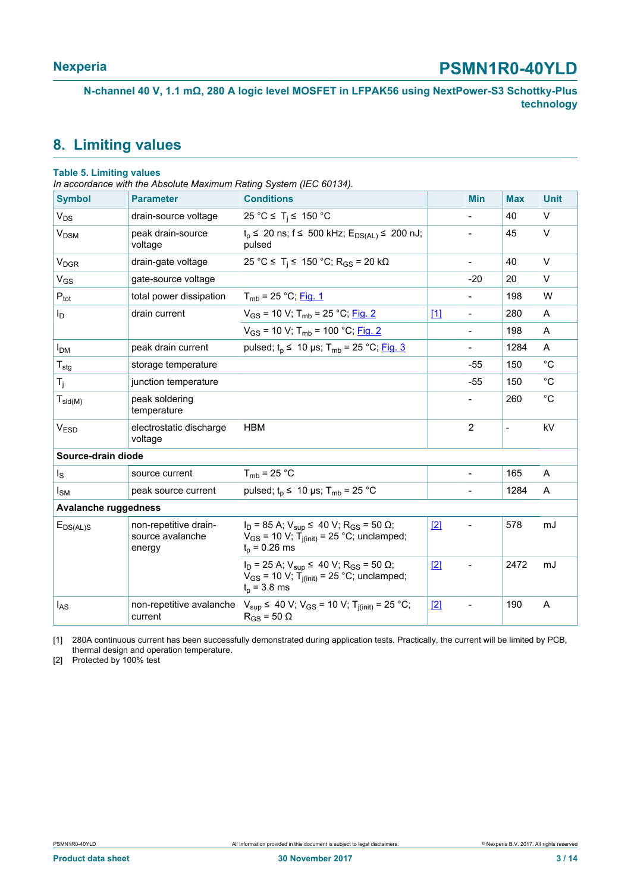### <span id="page-2-1"></span><span id="page-2-0"></span>**8. Limiting values**

#### **Table 5. Limiting values**

*In accordance with the Absolute Maximum Rating System (IEC 60134).*

| <b>Symbol</b>               | <b>Parameter</b>                                    | <b>Conditions</b>                                                                                                                                       |       | <b>Min</b>               | <b>Max</b>    | <b>Unit</b> |
|-----------------------------|-----------------------------------------------------|---------------------------------------------------------------------------------------------------------------------------------------------------------|-------|--------------------------|---------------|-------------|
| $V_{DS}$                    | drain-source voltage                                | 25 °C ≤ T <sub>i</sub> ≤ 150 °C                                                                                                                         |       |                          | 40            | $\vee$      |
| <b>V<sub>DSM</sub></b>      | peak drain-source<br>voltage                        | $t_0$ ≤ 20 ns; f ≤ 500 kHz; $E_{DS(AL)}$ ≤ 200 nJ;<br>pulsed                                                                                            |       |                          | 45            | $\vee$      |
| <b>V</b> <sub>DGR</sub>     | drain-gate voltage                                  | 25 °C ≤ T <sub>i</sub> ≤ 150 °C; R <sub>GS</sub> = 20 kΩ                                                                                                |       | $\overline{\phantom{a}}$ | 40            | $\vee$      |
| $V_{GS}$                    | gate-source voltage                                 |                                                                                                                                                         |       | $-20$                    | 20            | $\vee$      |
| $P_{\text{tot}}$            | total power dissipation                             | $T_{mb}$ = 25 °C; Fig. 1                                                                                                                                |       |                          | 198           | W           |
| I <sub>D</sub>              | drain current                                       | $V_{GS}$ = 10 V; T <sub>mb</sub> = 25 °C; Fig. 2                                                                                                        | $[1]$ | $\blacksquare$           | 280           | Α           |
|                             |                                                     | $V_{GS}$ = 10 V; T <sub>mb</sub> = 100 °C; Fig. 2                                                                                                       |       |                          | 198           | Α           |
| <b>I<sub>DM</sub></b>       | peak drain current                                  | pulsed; $tp$ ≤ 10 µs; T <sub>mb</sub> = 25 °C; Fig. 3                                                                                                   |       |                          | 1284          | Α           |
| $T_{\text{stg}}$            | storage temperature                                 |                                                                                                                                                         |       | $-55$                    | 150           | $^{\circ}C$ |
| $T_j$                       | junction temperature                                |                                                                                                                                                         |       | $-55$                    | 150           | $^{\circ}C$ |
| $T_{\text{sld}(M)}$         | peak soldering<br>temperature                       |                                                                                                                                                         |       |                          | 260           | $^{\circ}C$ |
| V <sub>ESD</sub>            | electrostatic discharge<br>voltage                  | <b>HBM</b>                                                                                                                                              |       | $\overline{2}$           | $\frac{1}{2}$ | kV          |
| Source-drain diode          |                                                     |                                                                                                                                                         |       |                          |               |             |
| $I_{\rm S}$                 | source current                                      | $T_{\rm mb}$ = 25 °C                                                                                                                                    |       |                          | 165           | A           |
| $I_{SM}$                    | peak source current                                 | pulsed; $t_p \leq 10 \mu s$ ; T <sub>mb</sub> = 25 °C                                                                                                   |       |                          | 1284          | A           |
| <b>Avalanche ruggedness</b> |                                                     |                                                                                                                                                         |       |                          |               |             |
| $E_{DS(AL)S}$               | non-repetitive drain-<br>source avalanche<br>energy | $I_D$ = 85 A; $V_{\text{sup}}$ ≤ 40 V; R <sub>GS</sub> = 50 Ω;<br>$V_{GS}$ = 10 V; T <sub>i(init)</sub> = 25 °C; unclamped;<br>$t_0$ = 0.26 ms          | $[2]$ | $\overline{a}$           | 578           | mJ          |
|                             |                                                     | $I_D$ = 25 A; $V_{\text{sup}}$ ≤ 40 V; R <sub>GS</sub> = 50 $\Omega$ ;<br>$V_{GS}$ = 10 V; T <sub>i(init)</sub> = 25 °C; unclamped;<br>$t_{p}$ = 3.8 ms | $[2]$ | $\blacksquare$           | 2472          | mJ          |
| $I_{AS}$                    | non-repetitive avalanche<br>current                 | $V_{\text{sup}}$ $\leq 40$ V; V <sub>GS</sub> = 10 V; T <sub>i(init)</sub> = 25 °C;<br>$R_{GS}$ = 50 $\Omega$                                           | $[2]$ |                          | 190           | A           |

[1] 280A continuous current has been successfully demonstrated during application tests. Practically, the current will be limited by PCB, thermal design and operation temperature.

[2] Protected by 100% test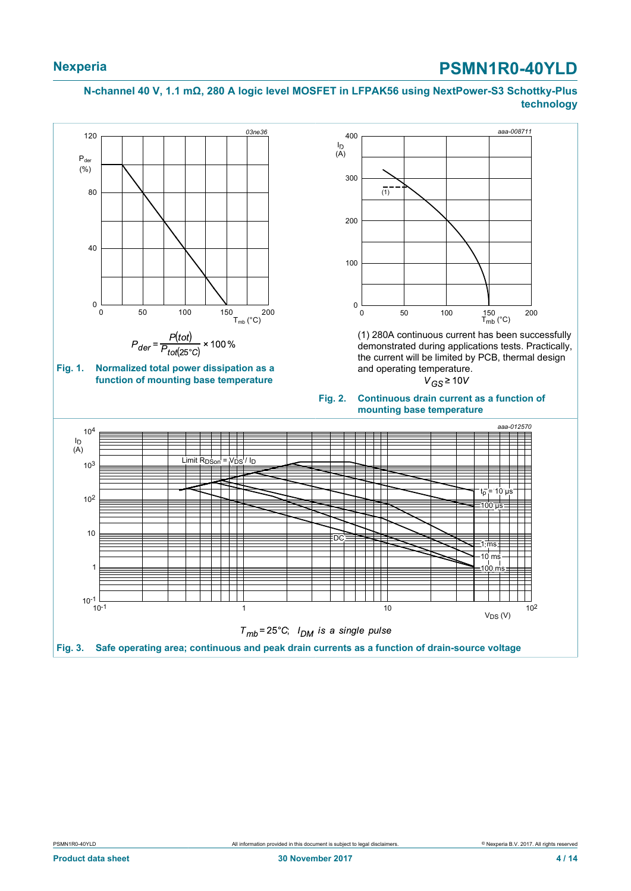#### <span id="page-3-0"></span>**N-channel 40 V, 1.1 mΩ, 280 A logic level MOSFET in LFPAK56 using NextPower-S3 Schottky-Plus technology**

<span id="page-3-2"></span><span id="page-3-1"></span>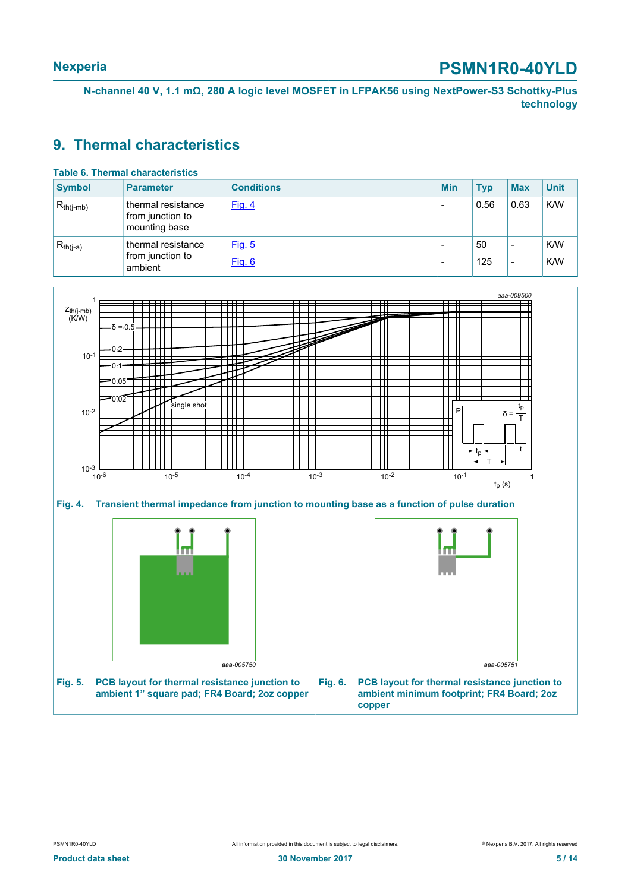### <span id="page-4-3"></span>**9. Thermal characteristics**

| <b>Table 6. Thermal characteristics</b>                 |                                                         |                   |  |            |            |            |             |
|---------------------------------------------------------|---------------------------------------------------------|-------------------|--|------------|------------|------------|-------------|
| <b>Symbol</b>                                           | <b>Parameter</b>                                        | <b>Conditions</b> |  | <b>Min</b> | <b>Typ</b> | <b>Max</b> | <b>Unit</b> |
| $R_{th(i-mb)}$                                          | thermal resistance<br>from junction to<br>mounting base | Fig. 4            |  | -          | 0.56       | 0.63       | K/W         |
| thermal resistance<br>$R_{th(j-a)}$<br>from junction to |                                                         | Fig. 5            |  |            | 50         | -          | K/W         |
|                                                         | ambient                                                 | Fig. 6            |  |            | 125        |            | K/W         |

<span id="page-4-2"></span><span id="page-4-1"></span><span id="page-4-0"></span>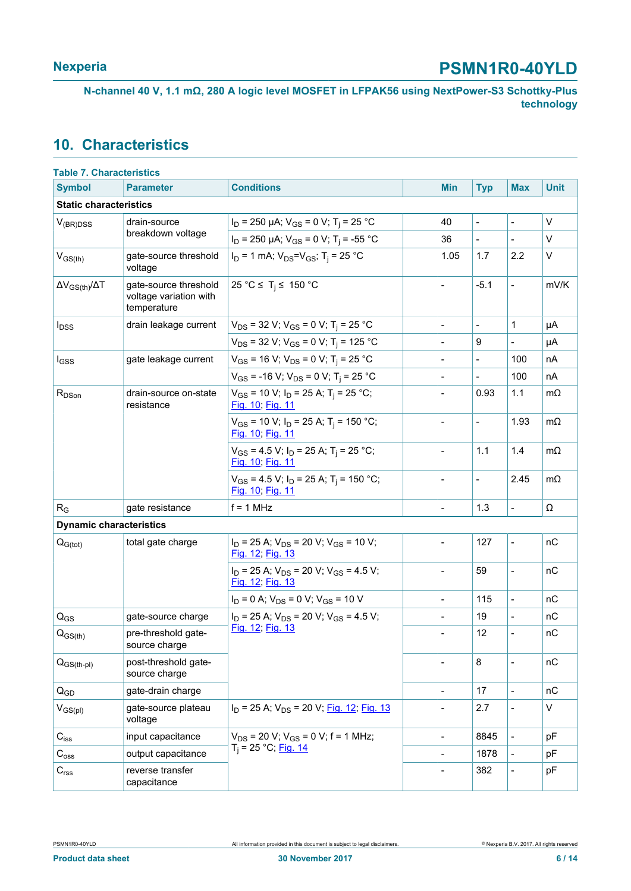### <span id="page-5-0"></span>**10. Characteristics**

| <b>Table 7. Characteristics</b> |                                                                |                                                                                       |                          |                          |                          |             |
|---------------------------------|----------------------------------------------------------------|---------------------------------------------------------------------------------------|--------------------------|--------------------------|--------------------------|-------------|
| <b>Symbol</b>                   | <b>Parameter</b>                                               | <b>Conditions</b>                                                                     | <b>Min</b>               | <b>Typ</b>               | <b>Max</b>               | <b>Unit</b> |
| <b>Static characteristics</b>   |                                                                |                                                                                       |                          |                          |                          |             |
| $V_{(BR)DSS}$                   | drain-source                                                   | $I_D$ = 250 µA; $V_{GS}$ = 0 V; T <sub>i</sub> = 25 °C                                | 40                       | $\overline{a}$           | $\overline{a}$           | $\vee$      |
|                                 | breakdown voltage                                              | $I_D$ = 250 µA; $V_{GS}$ = 0 V; T <sub>i</sub> = -55 °C                               | 36                       | $\blacksquare$           | $\blacksquare$           | V           |
| $V_{GS(th)}$                    | gate-source threshold<br>voltage                               | $I_D = 1$ mA; $V_{DS} = V_{GS}$ ; T <sub>i</sub> = 25 °C                              | 1.05                     | 1.7                      | 2.2                      | V           |
| $\Delta V_{GS(th)} / \Delta T$  | gate-source threshold<br>voltage variation with<br>temperature | 25 °C ≤ T <sub>i</sub> ≤ 150 °C                                                       | $\overline{a}$           | $-5.1$                   | $\frac{1}{2}$            | mV/K        |
| $I_{DSS}$                       | drain leakage current                                          | $V_{DS}$ = 32 V; V <sub>GS</sub> = 0 V; T <sub>i</sub> = 25 °C                        | -                        | $\overline{\phantom{a}}$ | 1                        | μA          |
|                                 |                                                                | $V_{DS}$ = 32 V; V <sub>GS</sub> = 0 V; T <sub>j</sub> = 125 °C                       |                          | 9                        |                          | μA          |
| I <sub>GSS</sub>                | gate leakage current                                           | $V_{GS}$ = 16 V; $V_{DS}$ = 0 V; T <sub>i</sub> = 25 °C                               | $\overline{\phantom{0}}$ | $\blacksquare$           | 100                      | nA          |
|                                 |                                                                | $V_{GS}$ = -16 V; V <sub>DS</sub> = 0 V; T <sub>i</sub> = 25 °C                       | $\overline{a}$           | $\overline{\phantom{m}}$ | 100                      | nA          |
| R <sub>DSon</sub>               | drain-source on-state<br>resistance                            | $V_{GS}$ = 10 V; $I_D$ = 25 A; T <sub>i</sub> = 25 °C;<br>Fig. 10; Fig. 11            |                          | 0.93                     | 1.1                      | $m\Omega$   |
|                                 |                                                                | $V_{GS}$ = 10 V; I <sub>D</sub> = 25 A; T <sub>i</sub> = 150 °C;<br>Fig. 10; Fig. 11  | $\blacksquare$           | $\blacksquare$           | 1.93                     | $m\Omega$   |
|                                 |                                                                | $V_{GS}$ = 4.5 V; $I_D$ = 25 A; T <sub>i</sub> = 25 °C;<br>Fig. 10; Fig. 11           |                          | 1.1                      | 1.4                      | $m\Omega$   |
|                                 |                                                                | $V_{GS}$ = 4.5 V; I <sub>D</sub> = 25 A; T <sub>i</sub> = 150 °C;<br>Fig. 10; Fig. 11 | $\overline{a}$           | $\blacksquare$           | 2.45                     | $m\Omega$   |
| $R_G$                           | gate resistance                                                | $f = 1$ MHz                                                                           | $\overline{a}$           | 1.3                      | $\overline{a}$           | Ω           |
| <b>Dynamic characteristics</b>  |                                                                |                                                                                       |                          |                          |                          |             |
| $Q_{G(tot)}$                    | total gate charge                                              | $I_D$ = 25 A; $V_{DS}$ = 20 V; $V_{GS}$ = 10 V;<br>Fig. 12; Fig. 13                   | $\overline{\phantom{0}}$ | 127                      | $\frac{1}{2}$            | nC          |
|                                 |                                                                | $I_D$ = 25 A; $V_{DS}$ = 20 V; $V_{GS}$ = 4.5 V;<br>Fig. 12; Fig. 13                  | $\overline{\phantom{0}}$ | 59                       | $\overline{\phantom{a}}$ | nC          |
|                                 |                                                                | $I_D = 0$ A; $V_{DS} = 0$ V; $V_{GS} = 10$ V                                          | $\overline{\phantom{0}}$ | 115                      | $\blacksquare$           | nC          |
| $Q_{GS}$                        | gate-source charge                                             | $I_D$ = 25 A; $V_{DS}$ = 20 V; $V_{GS}$ = 4.5 V;                                      | -                        | 19                       |                          | nC          |
| $Q_{GS(th)}$                    | pre-threshold gate-<br>source charge                           | Fig. 12, Fig. 13                                                                      |                          | 12                       | $\overline{\phantom{a}}$ | nC          |
| $Q_{GS(th-pl)}$                 | post-threshold gate-<br>source charge                          |                                                                                       |                          | 8                        |                          | nC          |
| $Q_{GD}$                        | gate-drain charge                                              |                                                                                       | $\overline{a}$           | 17                       | $\blacksquare$           | nC          |
| $V_{GS(pl)}$                    | gate-source plateau<br>voltage                                 | $I_D$ = 25 A; $V_{DS}$ = 20 V; Fig. 12; Fig. 13                                       | $\overline{\phantom{0}}$ | 2.7                      | $\overline{\phantom{a}}$ | V           |
| $\mathbf{C}_{\mathsf{iss}}$     | input capacitance                                              | $V_{DS}$ = 20 V; $V_{GS}$ = 0 V; f = 1 MHz;                                           | $\overline{a}$           | 8845                     | $\overline{\phantom{a}}$ | pF          |
| $C_{\rm{oss}}$                  | output capacitance                                             | $T_i = 25 °C;$ Fig. 14                                                                | $\overline{\phantom{0}}$ | 1878                     | $\overline{\phantom{a}}$ | pF          |
| C <sub>rss</sub>                | reverse transfer<br>capacitance                                |                                                                                       |                          | 382                      | $\overline{\phantom{a}}$ | pF          |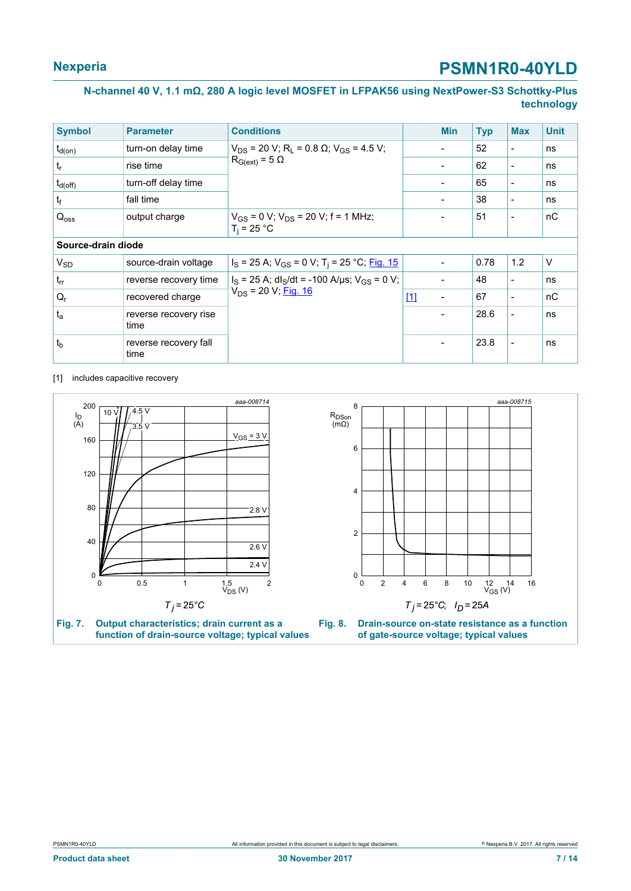#### <span id="page-6-0"></span>**N-channel 40 V, 1.1 mΩ, 280 A logic level MOSFET in LFPAK56 using NextPower-S3 Schottky-Plus technology**

| <b>Symbol</b>       | <b>Parameter</b>              | <b>Conditions</b>                                                                                    |       | <b>Min</b>                   | <b>Typ</b> | <b>Max</b>               | <b>Unit</b> |
|---------------------|-------------------------------|------------------------------------------------------------------------------------------------------|-------|------------------------------|------------|--------------------------|-------------|
| $t_{d(on)}$         | turn-on delay time            | $V_{DS}$ = 20 V; R <sub>L</sub> = 0.8 $\Omega$ ; V <sub>GS</sub> = 4.5 V;<br>$R_{G(ext)} = 5 \Omega$ |       | ۳                            | 52         | ۳                        | ns          |
| $t_{\rm r}$         | rise time                     |                                                                                                      |       | $\qquad \qquad \blacksquare$ | 62         | -                        | ns          |
| $t_{d(\text{off})}$ | turn-off delay time           |                                                                                                      |       | $\overline{\phantom{a}}$     | 65         | -                        | ns          |
| $t_f$               | fall time                     |                                                                                                      |       | $\overline{\phantom{a}}$     | 38         | -                        | ns          |
| $Q_{\text{oss}}$    | output charge                 | $V_{GS}$ = 0 V; $V_{DS}$ = 20 V; f = 1 MHz;<br>$T_i = 25 °C$                                         |       | ۰                            | 51         | $\overline{\phantom{a}}$ | nC          |
| Source-drain diode  |                               |                                                                                                      |       |                              |            |                          |             |
| $V_{SD}$            | source-drain voltage          | $I_S$ = 25 A; $V_{GS}$ = 0 V; T <sub>i</sub> = 25 °C; Fig. 15                                        |       | ۳                            | 0.78       | 1.2                      | $\vee$      |
| $t_{rr}$            | reverse recovery time         | $I_S = 25$ A; dl <sub>S</sub> /dt = -100 A/µs; V <sub>GS</sub> = 0 V;                                |       | $\qquad \qquad \blacksquare$ | 48         | -                        | ns          |
| $Q_{r}$             | recovered charge              | $V_{DS}$ = 20 V; Fig. 16                                                                             | $[1]$ | $\overline{\phantom{a}}$     | 67         | -                        | nC          |
| $t_{a}$             | reverse recovery rise<br>time |                                                                                                      |       | $\overline{\phantom{a}}$     | 28.6       | -                        | ns          |
| $t_{b}$             | reverse recovery fall<br>time |                                                                                                      |       | $\overline{\phantom{a}}$     | 23.8       | -                        | ns          |

[1] includes capacitive recovery

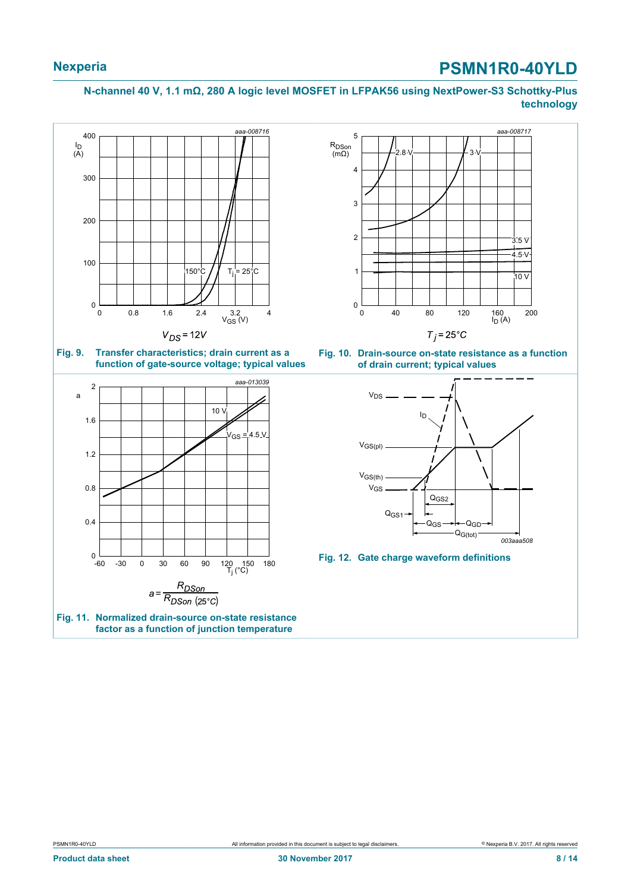#### <span id="page-7-2"></span><span id="page-7-0"></span>**N-channel 40 V, 1.1 mΩ, 280 A logic level MOSFET in LFPAK56 using NextPower-S3 Schottky-Plus technology**

<span id="page-7-1"></span>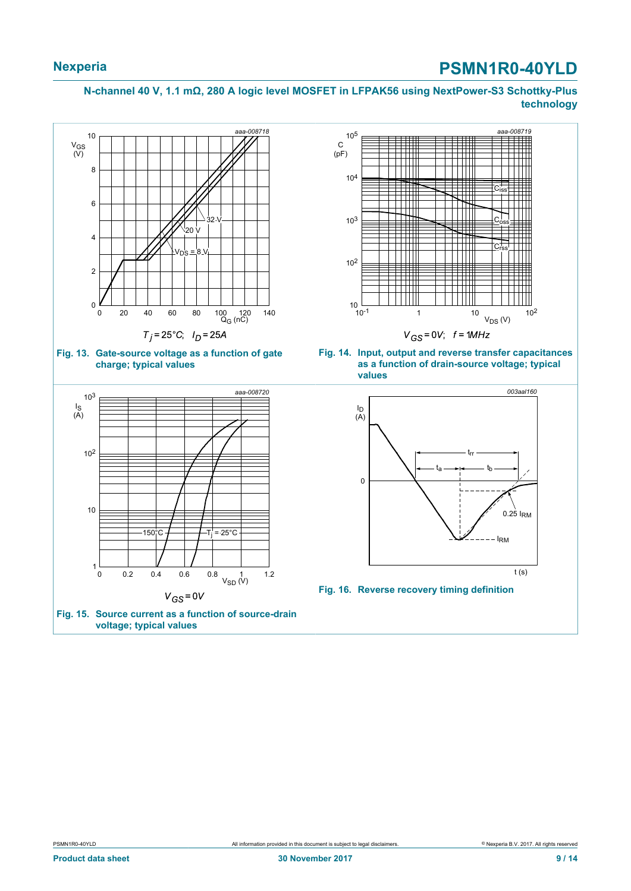#### <span id="page-8-3"></span><span id="page-8-1"></span>**N-channel 40 V, 1.1 mΩ, 280 A logic level MOSFET in LFPAK56 using NextPower-S3 Schottky-Plus technology**

<span id="page-8-2"></span><span id="page-8-0"></span>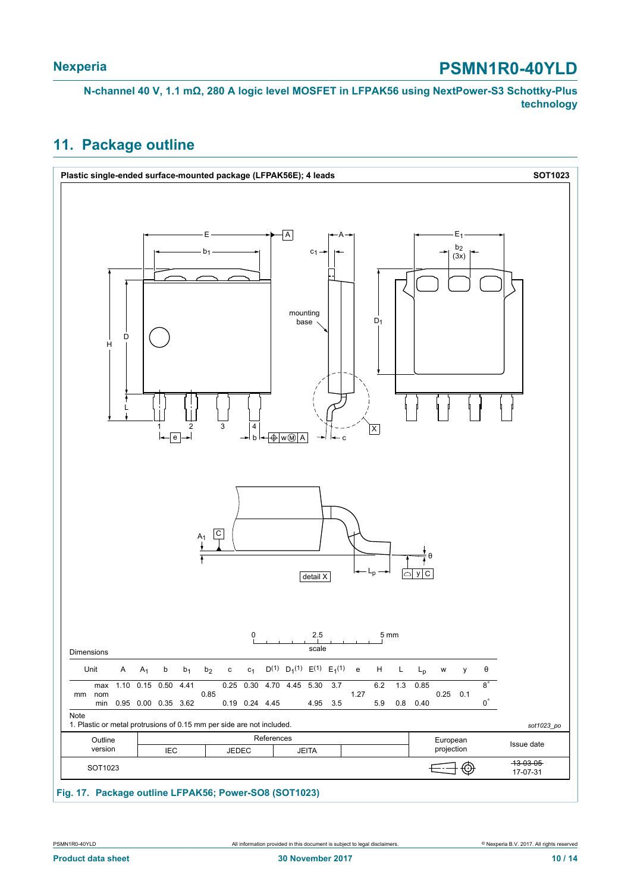### <span id="page-9-0"></span>**11. Package outline**

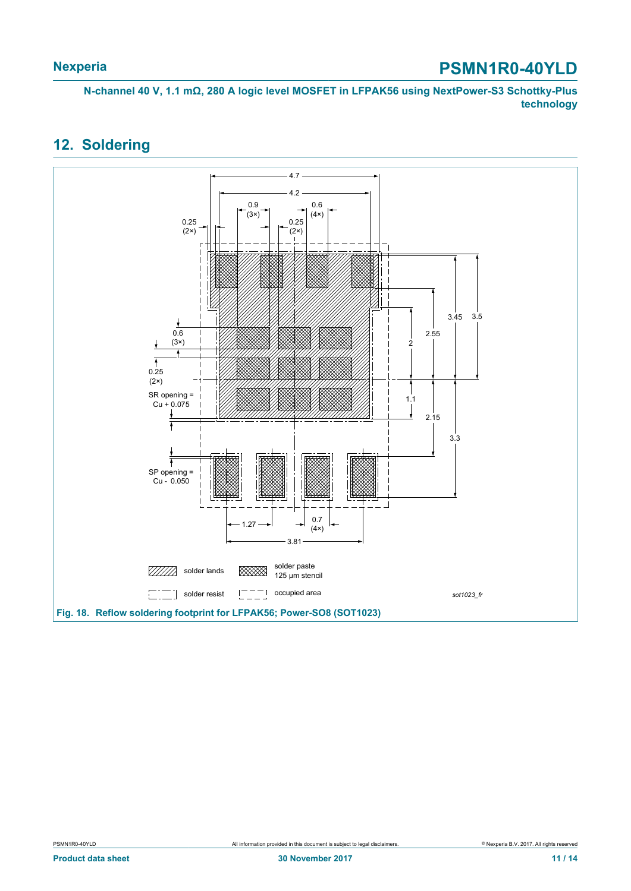### <span id="page-10-0"></span>**12. Soldering**

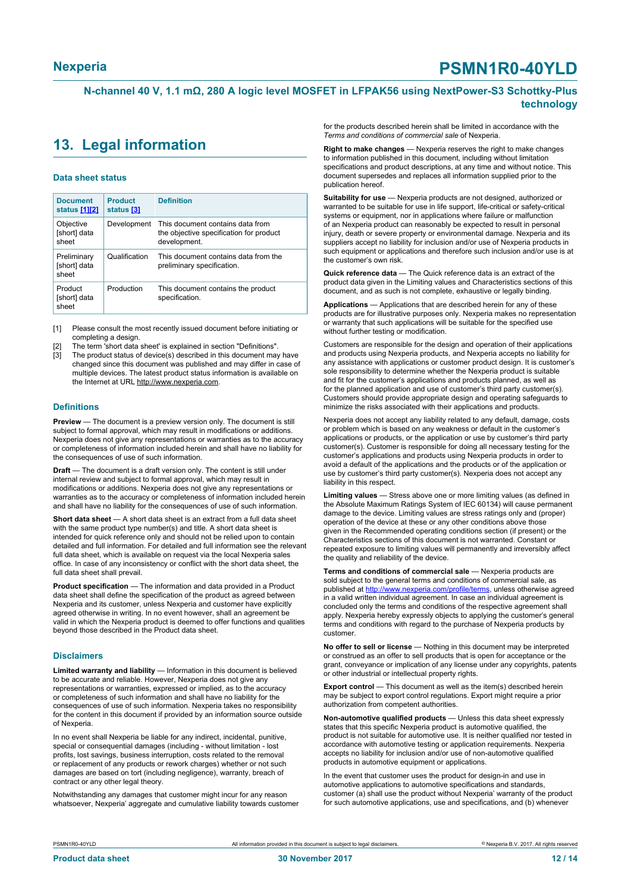#### **N-channel 40 V, 1.1 mΩ, 280 A logic level MOSFET in LFPAK56 using NextPower-S3 Schottky-Plus technology**

### <span id="page-11-1"></span><span id="page-11-0"></span>**13. Legal information**

#### **Data sheet status**

| <b>Document</b><br>status [1][2]     | <b>Product</b><br>status [3] | <b>Definition</b>                                                                           |
|--------------------------------------|------------------------------|---------------------------------------------------------------------------------------------|
| Objective<br>[short] data<br>sheet   | Development                  | This document contains data from<br>the objective specification for product<br>development. |
| Preliminary<br>[short] data<br>sheet | Qualification                | This document contains data from the<br>preliminary specification.                          |
| Product<br>[short] data<br>sheet     | Production                   | This document contains the product<br>specification.                                        |

[1] Please consult the most recently issued document before initiating or completing a design.

- The term 'short data sheet' is explained in section "Definitions".
- The product status of device(s) described in this document may have changed since this document was published and may differ in case of multiple devices. The latest product status information is available on the Internet at URL http://www.nexperia.com.

#### **Definitions**

**Preview** — The document is a preview version only. The document is still subject to formal approval, which may result in modifications or additions. Nexperia does not give any representations or warranties as to the accuracy or completeness of information included herein and shall have no liability for the consequences of use of such information.

**Draft** — The document is a draft version only. The content is still under internal review and subject to formal approval, which may result in modifications or additions. Nexperia does not give any representations or warranties as to the accuracy or completeness of information included herein and shall have no liability for the consequences of use of such information.

**Short data sheet** — A short data sheet is an extract from a full data sheet with the same product type number(s) and title. A short data sheet is intended for quick reference only and should not be relied upon to contain detailed and full information. For detailed and full information see the relevant full data sheet, which is available on request via the local Nexperia sales office. In case of any inconsistency or conflict with the short data sheet, the full data sheet shall prevail.

**Product specification** — The information and data provided in a Product data sheet shall define the specification of the product as agreed between Nexperia and its customer, unless Nexperia and customer have explicitly agreed otherwise in writing. In no event however, shall an agreement be valid in which the Nexperia product is deemed to offer functions and qualities beyond those described in the Product data sheet.

#### **Disclaimers**

**Limited warranty and liability** — Information in this document is believed to be accurate and reliable. However, Nexperia does not give any representations or warranties, expressed or implied, as to the accuracy or completeness of such information and shall have no liability for the consequences of use of such information. Nexperia takes no responsibility for the content in this document if provided by an information source outside of Nexperia.

In no event shall Nexperia be liable for any indirect, incidental, punitive, special or consequential damages (including - without limitation - lost profits, lost savings, business interruption, costs related to the removal or replacement of any products or rework charges) whether or not such damages are based on tort (including negligence), warranty, breach of contract or any other legal theory.

Notwithstanding any damages that customer might incur for any reason whatsoever, Nexperia' aggregate and cumulative liability towards customer for the products described herein shall be limited in accordance with the *Terms and conditions of commercial sale* of Nexperia.

**Right to make changes** — Nexperia reserves the right to make changes to information published in this document, including without limitation specifications and product descriptions, at any time and without notice. This document supersedes and replaces all information supplied prior to the publication hereof.

**Suitability for use** — Nexperia products are not designed, authorized or warranted to be suitable for use in life support, life-critical or safety-critical systems or equipment, nor in applications where failure or malfunction of an Nexperia product can reasonably be expected to result in personal injury, death or severe property or environmental damage. Nexperia and its suppliers accept no liability for inclusion and/or use of Nexperia products in such equipment or applications and therefore such inclusion and/or use is at the customer's own risk.

**Quick reference data** — The Quick reference data is an extract of the product data given in the Limiting values and Characteristics sections of this document, and as such is not complete, exhaustive or legally binding.

**Applications** — Applications that are described herein for any of these products are for illustrative purposes only. Nexperia makes no representation or warranty that such applications will be suitable for the specified use without further testing or modification.

Customers are responsible for the design and operation of their applications and products using Nexperia products, and Nexperia accepts no liability for any assistance with applications or customer product design. It is customer's sole responsibility to determine whether the Nexperia product is suitable and fit for the customer's applications and products planned, as well as for the planned application and use of customer's third party customer(s). Customers should provide appropriate design and operating safeguards to minimize the risks associated with their applications and products.

Nexperia does not accept any liability related to any default, damage, costs or problem which is based on any weakness or default in the customer's applications or products, or the application or use by customer's third party customer(s). Customer is responsible for doing all necessary testing for the customer's applications and products using Nexperia products in order to avoid a default of the applications and the products or of the application or use by customer's third party customer(s). Nexperia does not accept any liability in this respect.

**Limiting values** — Stress above one or more limiting values (as defined in the Absolute Maximum Ratings System of IEC 60134) will cause permanent damage to the device. Limiting values are stress ratings only and (proper) operation of the device at these or any other conditions above those given in the Recommended operating conditions section (if present) or the Characteristics sections of this document is not warranted. Constant or repeated exposure to limiting values will permanently and irreversibly affect the quality and reliability of the device.

**Terms and conditions of commercial sale** — Nexperia products are sold subject to the general terms and conditions of commercial sale, as published at<http://www.nexperia.com/profile/terms>, unless otherwise agreed in a valid written individual agreement. In case an individual agreement is concluded only the terms and conditions of the respective agreement shall apply. Nexperia hereby expressly objects to applying the customer's general terms and conditions with regard to the purchase of Nexperia products by customer.

**No offer to sell or license** — Nothing in this document may be interpreted or construed as an offer to sell products that is open for acceptance or the grant, conveyance or implication of any license under any copyrights, patents or other industrial or intellectual property rights.

**Export control** — This document as well as the item(s) described herein may be subject to export control regulations. Export might require a prior authorization from competent authorities.

**Non-automotive qualified products** — Unless this data sheet expressly states that this specific Nexperia product is automotive qualified, the product is not suitable for automotive use. It is neither qualified nor tested in accordance with automotive testing or application requirements. Nexperia accepts no liability for inclusion and/or use of non-automotive qualified products in automotive equipment or applications.

In the event that customer uses the product for design-in and use in automotive applications to automotive specifications and standards, customer (a) shall use the product without Nexperia' warranty of the product for such automotive applications, use and specifications, and (b) whenever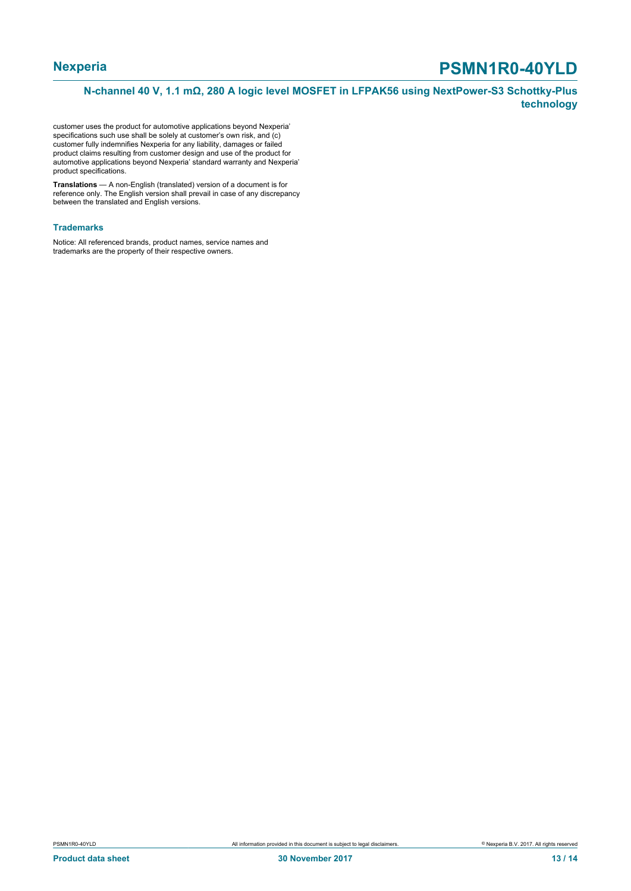**N-channel 40 V, 1.1 mΩ, 280 A logic level MOSFET in LFPAK56 using NextPower-S3 Schottky-Plus technology**

customer uses the product for automotive applications beyond Nexperia' specifications such use shall be solely at customer's own risk, and (c) customer fully indemnifies Nexperia for any liability, damages or failed product claims resulting from customer design and use of the product for automotive applications beyond Nexperia' standard warranty and Nexperia' product specifications.

**Translations** — A non-English (translated) version of a document is for reference only. The English version shall prevail in case of any discrepancy between the translated and English versions.

#### **Trademarks**

Notice: All referenced brands, product names, service names and trademarks are the property of their respective owners.